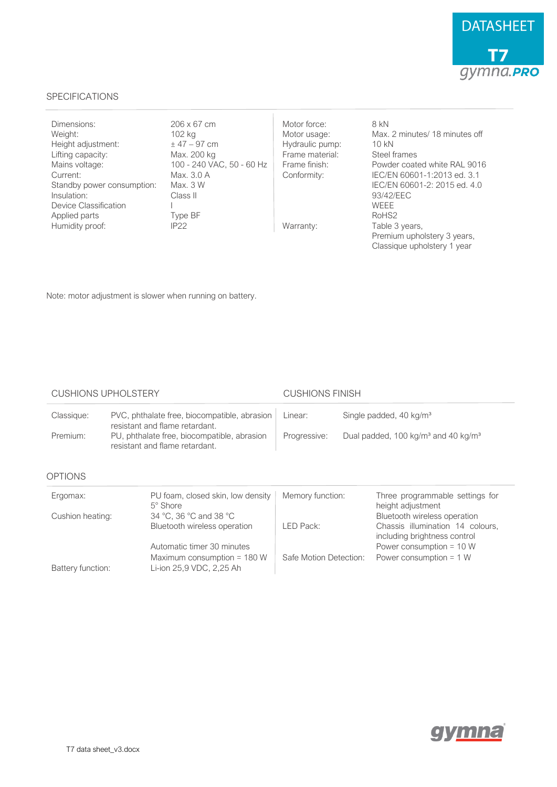

## SPECIFICATIONS

| Dimensions:<br>Weight:<br>Height adjustment:<br>Lifting capacity:<br>Mains voltage:<br>Current:<br>Standby power consumption:<br>Insulation:<br>Device Classification<br>Applied parts | 206 x 67 cm<br>102 kg<br>$± 47 - 97$ cm<br>Max. 200 kg<br>100 - 240 VAC, 50 - 60 Hz<br>Max. 3.0 A<br>Max. 3 W<br>Class II<br>Type BF | Motor force:<br>Motor usage:<br>Hydraulic pump:<br>Frame material:<br>Frame finish:<br>Conformity: | 8 kN<br>Max, 2 minutes/ 18 minutes off<br>10 kN<br>Steel frames<br>Powder coated white RAL 9016<br>IEC/EN 60601-1:2013 ed. 3.1<br>IEC/EN 60601-2: 2015 ed. 4.0<br>93/42/EEC<br><b>WFFF</b><br>RoHS <sub>2</sub> |
|----------------------------------------------------------------------------------------------------------------------------------------------------------------------------------------|--------------------------------------------------------------------------------------------------------------------------------------|----------------------------------------------------------------------------------------------------|-----------------------------------------------------------------------------------------------------------------------------------------------------------------------------------------------------------------|
| Humidity proof:                                                                                                                                                                        | IP22                                                                                                                                 | Warranty:                                                                                          | Table 3 years,<br>Premium upholstery 3 years,<br>Classique upholstery 1 year                                                                                                                                    |

Note: motor adjustment is slower when running on battery.

## CUSHIONS UPHOLSTERY CUSHIONS FINISH

Maximum consumption = 180 W  $\parallel$  Safe Motion Detection: Power consumption = 1 W

| Classique:       | PVC, phthalate free, biocompatible, abrasion<br>resistant and flame retardant.<br>PU, phthalate free, biocompatible, abrasion<br>resistant and flame retardant. |                                                      | Linear:                                                                     | Single padded, 40 kg/m <sup>3</sup>                              |
|------------------|-----------------------------------------------------------------------------------------------------------------------------------------------------------------|------------------------------------------------------|-----------------------------------------------------------------------------|------------------------------------------------------------------|
| Premium:         |                                                                                                                                                                 |                                                      | Dual padded, 100 kg/m <sup>3</sup> and 40 kg/m <sup>3</sup><br>Progressive: |                                                                  |
| <b>OPTIONS</b>   |                                                                                                                                                                 |                                                      |                                                                             |                                                                  |
| Ergomax:         |                                                                                                                                                                 | PU foam, closed skin, low density<br>$5^\circ$ Shore | Memory function:                                                            | Three programmable settings for<br>height adjustment             |
| Cushion heating: |                                                                                                                                                                 | 34 °C, 36 °C and 38 °C                               |                                                                             | Bluetooth wireless operation                                     |
|                  |                                                                                                                                                                 | Bluetooth wireless operation                         | LED Pack:                                                                   | Chassis illumination 14 colours,<br>including brightness control |
|                  |                                                                                                                                                                 | Automatic timer 30 minutes                           |                                                                             | Power consumption = $10 W$                                       |

Battery function: Li-ion 25,9 VDC, 2,25 Ah